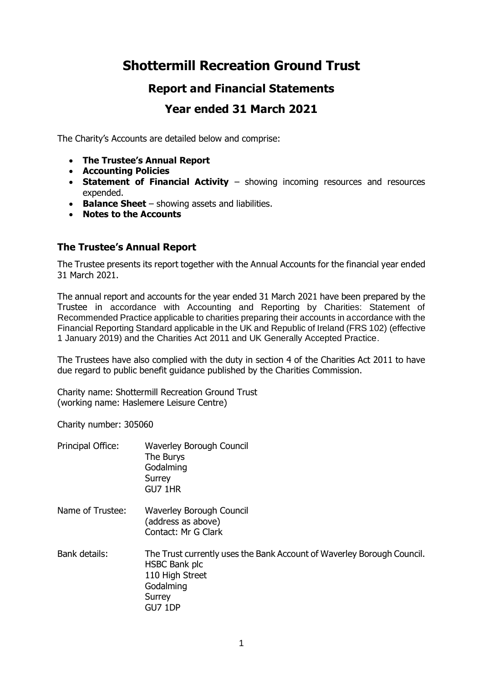# **Shottermill Recreation Ground Trust**

# **Report and Financial Statements**

# **Year ended 31 March 2021**

The Charity's Accounts are detailed below and comprise:

- **The Trustee's Annual Report**
- **Accounting Policies**
- **Statement of Financial Activity** showing incoming resources and resources expended.
- **Balance Sheet** showing assets and liabilities.
- **Notes to the Accounts**

### **The Trustee's Annual Report**

The Trustee presents its report together with the Annual Accounts for the financial year ended 31 March 2021.

The annual report and accounts for the year ended 31 March 2021 have been prepared by the Trustee in accordance with Accounting and Reporting by Charities: Statement of Recommended Practice applicable to charities preparing their accounts in accordance with the Financial Reporting Standard applicable in the UK and Republic of Ireland (FRS 102) (effective 1 January 2019) and the Charities Act 2011 and UK Generally Accepted Practice.

The Trustees have also complied with the duty in section 4 of the Charities Act 2011 to have due regard to public benefit guidance published by the Charities Commission.

Charity name: Shottermill Recreation Ground Trust (working name: Haslemere Leisure Centre)

Charity number: 305060

| Principal Office: | Waverley Borough Council<br>The Burys<br>Godalming<br>Surrey<br>GU7 1HR                                                                      |
|-------------------|----------------------------------------------------------------------------------------------------------------------------------------------|
| Name of Trustee:  | Waverley Borough Council<br>(address as above)<br>Contact: Mr G Clark                                                                        |
| Bank details:     | The Trust currently uses the Bank Account of Waverley Borough Council.<br>HSBC Bank plc<br>110 High Street<br>Godalming<br>Surrey<br>GU7 1DP |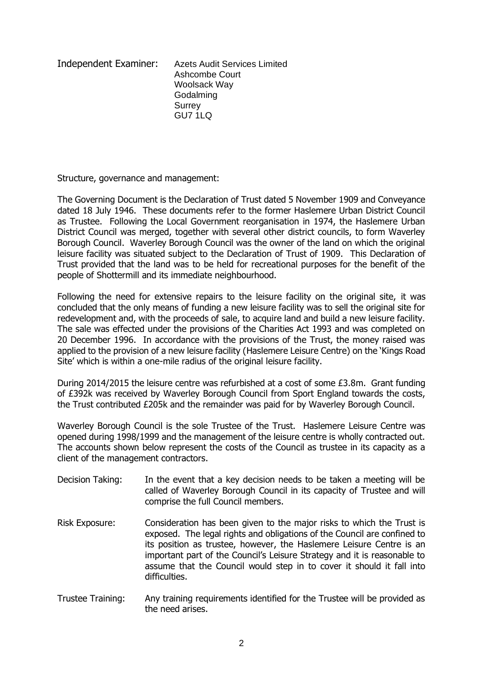Independent Examiner: Azets Audit Services Limited Ashcombe Court Woolsack Way Godalming **Surrey** GU7 1LQ

Structure, governance and management:

The Governing Document is the Declaration of Trust dated 5 November 1909 and Conveyance dated 18 July 1946. These documents refer to the former Haslemere Urban District Council as Trustee. Following the Local Government reorganisation in 1974, the Haslemere Urban District Council was merged, together with several other district councils, to form Waverley Borough Council. Waverley Borough Council was the owner of the land on which the original leisure facility was situated subject to the Declaration of Trust of 1909. This Declaration of Trust provided that the land was to be held for recreational purposes for the benefit of the people of Shottermill and its immediate neighbourhood.

Following the need for extensive repairs to the leisure facility on the original site, it was concluded that the only means of funding a new leisure facility was to sell the original site for redevelopment and, with the proceeds of sale, to acquire land and build a new leisure facility. The sale was effected under the provisions of the Charities Act 1993 and was completed on 20 December 1996. In accordance with the provisions of the Trust, the money raised was applied to the provision of a new leisure facility (Haslemere Leisure Centre) on the 'Kings Road Site' which is within a one-mile radius of the original leisure facility.

During 2014/2015 the leisure centre was refurbished at a cost of some £3.8m. Grant funding of £392k was received by Waverley Borough Council from Sport England towards the costs, the Trust contributed £205k and the remainder was paid for by Waverley Borough Council.

Waverley Borough Council is the sole Trustee of the Trust. Haslemere Leisure Centre was opened during 1998/1999 and the management of the leisure centre is wholly contracted out. The accounts shown below represent the costs of the Council as trustee in its capacity as a client of the management contractors.

- Decision Taking: In the event that a key decision needs to be taken a meeting will be called of Waverley Borough Council in its capacity of Trustee and will comprise the full Council members.
- Risk Exposure: Consideration has been given to the major risks to which the Trust is exposed. The legal rights and obligations of the Council are confined to its position as trustee, however, the Haslemere Leisure Centre is an important part of the Council's Leisure Strategy and it is reasonable to assume that the Council would step in to cover it should it fall into difficulties.
- Trustee Training: Any training requirements identified for the Trustee will be provided as the need arises.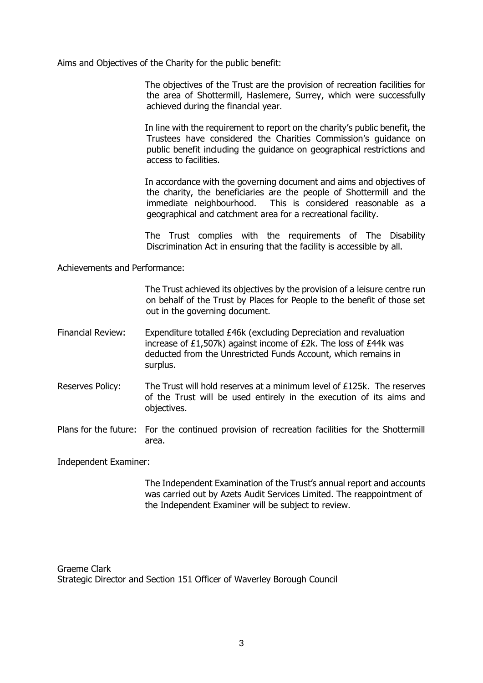Aims and Objectives of the Charity for the public benefit:

The objectives of the Trust are the provision of recreation facilities for the area of Shottermill, Haslemere, Surrey, which were successfully achieved during the financial year.

In line with the requirement to report on the charity's public benefit, the Trustees have considered the Charities Commission's guidance on public benefit including the guidance on geographical restrictions and access to facilities.

In accordance with the governing document and aims and objectives of the charity, the beneficiaries are the people of Shottermill and the immediate neighbourhood. This is considered reasonable as a geographical and catchment area for a recreational facility.

The Trust complies with the requirements of The Disability Discrimination Act in ensuring that the facility is accessible by all.

Achievements and Performance:

The Trust achieved its objectives by the provision of a leisure centre run on behalf of the Trust by Places for People to the benefit of those set out in the governing document.

- Financial Review: Expenditure totalled £46k (excluding Depreciation and revaluation increase of £1,507k) against income of £2k. The loss of £44k was deducted from the Unrestricted Funds Account, which remains in surplus.
- Reserves Policy: The Trust will hold reserves at a minimum level of £125k. The reserves of the Trust will be used entirely in the execution of its aims and objectives.
- Plans for the future: For the continued provision of recreation facilities for the Shottermill area.

Independent Examiner:

The Independent Examination of the Trust's annual report and accounts was carried out by Azets Audit Services Limited. The reappointment of the Independent Examiner will be subject to review.

Graeme Clark Strategic Director and Section 151 Officer of Waverley Borough Council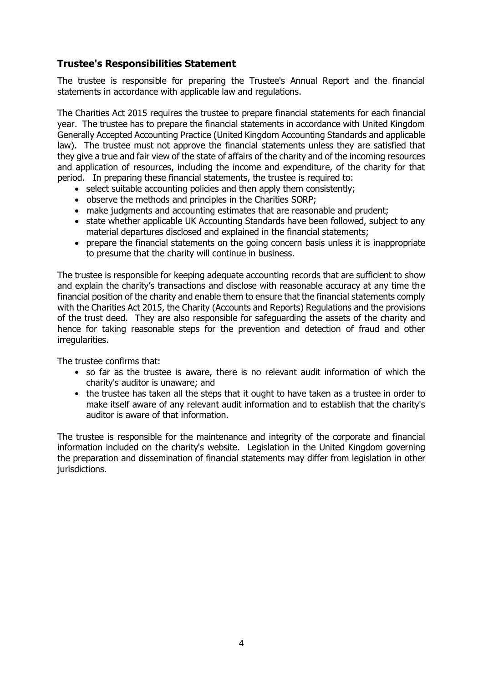# **Trustee's Responsibilities Statement**

The trustee is responsible for preparing the Trustee's Annual Report and the financial statements in accordance with applicable law and regulations.

The Charities Act 2015 requires the trustee to prepare financial statements for each financial year. The trustee has to prepare the financial statements in accordance with United Kingdom Generally Accepted Accounting Practice (United Kingdom Accounting Standards and applicable law). The trustee must not approve the financial statements unless they are satisfied that they give a true and fair view of the state of affairs of the charity and of the incoming resources and application of resources, including the income and expenditure, of the charity for that period. In preparing these financial statements, the trustee is required to:

- select suitable accounting policies and then apply them consistently;
- observe the methods and principles in the Charities SORP;
- make judgments and accounting estimates that are reasonable and prudent;
- state whether applicable UK Accounting Standards have been followed, subject to any material departures disclosed and explained in the financial statements;
- prepare the financial statements on the going concern basis unless it is inappropriate to presume that the charity will continue in business.

The trustee is responsible for keeping adequate accounting records that are sufficient to show and explain the charity's transactions and disclose with reasonable accuracy at any time the financial position of the charity and enable them to ensure that the financial statements comply with the Charities Act 2015, the Charity (Accounts and Reports) Regulations and the provisions of the trust deed. They are also responsible for safeguarding the assets of the charity and hence for taking reasonable steps for the prevention and detection of fraud and other irregularities.

The trustee confirms that:

- so far as the trustee is aware, there is no relevant audit information of which the charity's auditor is unaware; and
- the trustee has taken all the steps that it ought to have taken as a trustee in order to make itself aware of any relevant audit information and to establish that the charity's auditor is aware of that information.

The trustee is responsible for the maintenance and integrity of the corporate and financial information included on the charity's website. Legislation in the United Kingdom governing the preparation and dissemination of financial statements may differ from legislation in other jurisdictions.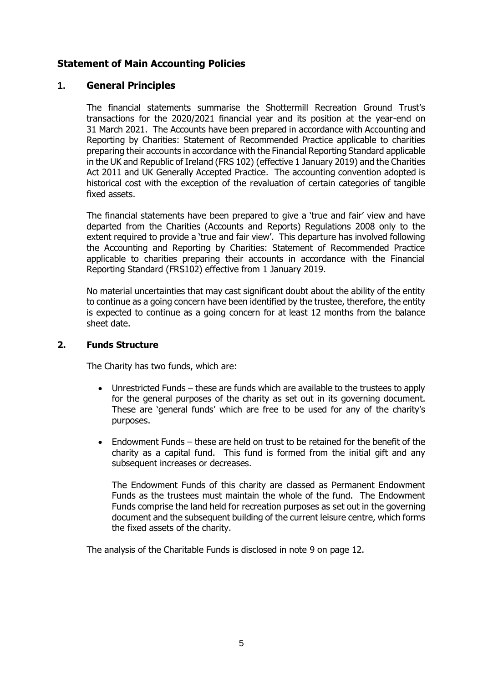## **Statement of Main Accounting Policies**

### **1. General Principles**

The financial statements summarise the Shottermill Recreation Ground Trust's transactions for the 2020/2021 financial year and its position at the year-end on 31 March 2021. The Accounts have been prepared in accordance with Accounting and Reporting by Charities: Statement of Recommended Practice applicable to charities preparing their accounts in accordance with the Financial Reporting Standard applicable in the UK and Republic of Ireland (FRS 102) (effective 1 January 2019) and the Charities Act 2011 and UK Generally Accepted Practice. The accounting convention adopted is historical cost with the exception of the revaluation of certain categories of tangible fixed assets.

The financial statements have been prepared to give a 'true and fair' view and have departed from the Charities (Accounts and Reports) Regulations 2008 only to the extent required to provide a 'true and fair view'. This departure has involved following the Accounting and Reporting by Charities: Statement of Recommended Practice applicable to charities preparing their accounts in accordance with the Financial Reporting Standard (FRS102) effective from 1 January 2019.

No material uncertainties that may cast significant doubt about the ability of the entity to continue as a going concern have been identified by the trustee, therefore, the entity is expected to continue as a going concern for at least 12 months from the balance sheet date.

#### **2. Funds Structure**

The Charity has two funds, which are:

- Unrestricted Funds these are funds which are available to the trustees to apply for the general purposes of the charity as set out in its governing document. These are 'general funds' which are free to be used for any of the charity's purposes.
- Endowment Funds these are held on trust to be retained for the benefit of the charity as a capital fund. This fund is formed from the initial gift and any subsequent increases or decreases.

The Endowment Funds of this charity are classed as Permanent Endowment Funds as the trustees must maintain the whole of the fund. The Endowment Funds comprise the land held for recreation purposes as set out in the governing document and the subsequent building of the current leisure centre, which forms the fixed assets of the charity.

The analysis of the Charitable Funds is disclosed in note 9 on page 12.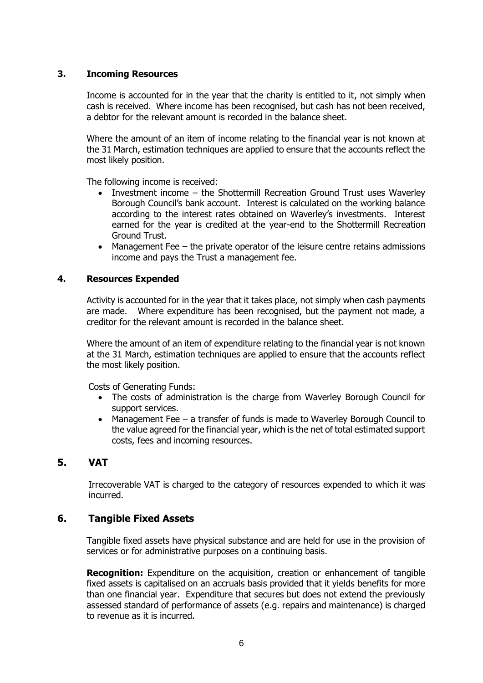#### **3. Incoming Resources**

Income is accounted for in the year that the charity is entitled to it, not simply when cash is received. Where income has been recognised, but cash has not been received, a debtor for the relevant amount is recorded in the balance sheet.

Where the amount of an item of income relating to the financial year is not known at the 31 March, estimation techniques are applied to ensure that the accounts reflect the most likely position.

The following income is received:

- Investment income the Shottermill Recreation Ground Trust uses Waverley Borough Council's bank account. Interest is calculated on the working balance according to the interest rates obtained on Waverley's investments. Interest earned for the year is credited at the year-end to the Shottermill Recreation Ground Trust.
- Management Fee the private operator of the leisure centre retains admissions income and pays the Trust a management fee.

#### **4. Resources Expended**

Activity is accounted for in the year that it takes place, not simply when cash payments are made. Where expenditure has been recognised, but the payment not made, a creditor for the relevant amount is recorded in the balance sheet.

Where the amount of an item of expenditure relating to the financial year is not known at the 31 March, estimation techniques are applied to ensure that the accounts reflect the most likely position.

Costs of Generating Funds:

- The costs of administration is the charge from Waverley Borough Council for support services.
- Management Fee a transfer of funds is made to Waverley Borough Council to the value agreed for the financial year, which is the net of total estimated support costs, fees and incoming resources.

## **5. VAT**

Irrecoverable VAT is charged to the category of resources expended to which it was incurred.

#### **6. Tangible Fixed Assets**

Tangible fixed assets have physical substance and are held for use in the provision of services or for administrative purposes on a continuing basis.

**Recognition:** Expenditure on the acquisition, creation or enhancement of tangible fixed assets is capitalised on an accruals basis provided that it yields benefits for more than one financial year. Expenditure that secures but does not extend the previously assessed standard of performance of assets (e.g. repairs and maintenance) is charged to revenue as it is incurred.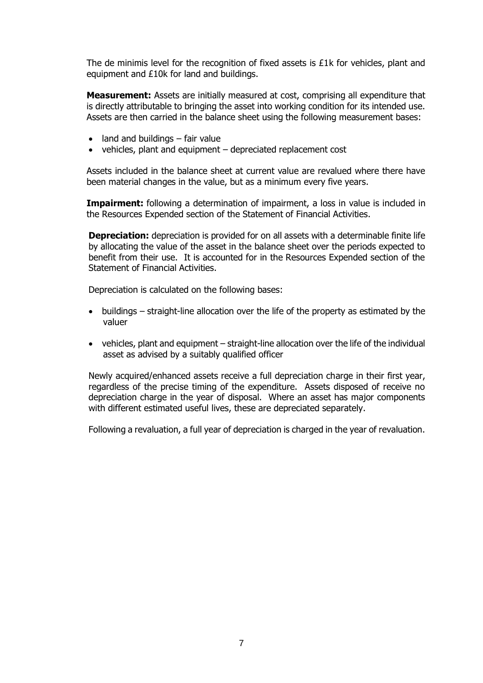The de minimis level for the recognition of fixed assets is £1k for vehicles, plant and equipment and £10k for land and buildings.

**Measurement:** Assets are initially measured at cost, comprising all expenditure that is directly attributable to bringing the asset into working condition for its intended use. Assets are then carried in the balance sheet using the following measurement bases:

- $\bullet$  land and buildings fair value
- vehicles, plant and equipment depreciated replacement cost

Assets included in the balance sheet at current value are revalued where there have been material changes in the value, but as a minimum every five years.

**Impairment:** following a determination of impairment, a loss in value is included in the Resources Expended section of the Statement of Financial Activities.

**Depreciation:** depreciation is provided for on all assets with a determinable finite life by allocating the value of the asset in the balance sheet over the periods expected to benefit from their use. It is accounted for in the Resources Expended section of the Statement of Financial Activities.

Depreciation is calculated on the following bases:

- buildings straight-line allocation over the life of the property as estimated by the valuer
- vehicles, plant and equipment straight-line allocation over the life of the individual asset as advised by a suitably qualified officer

Newly acquired/enhanced assets receive a full depreciation charge in their first year, regardless of the precise timing of the expenditure. Assets disposed of receive no depreciation charge in the year of disposal. Where an asset has major components with different estimated useful lives, these are depreciated separately.

Following a revaluation, a full year of depreciation is charged in the year of revaluation.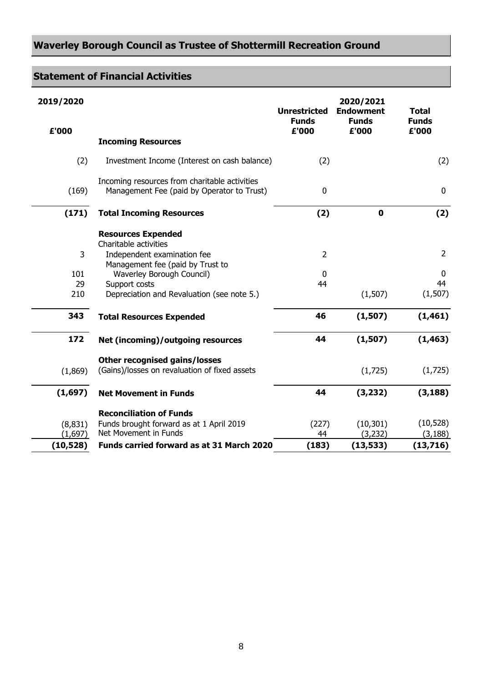# **Waverley Borough Council as Trustee of Shottermill Recreation Ground**

# **Statement of Financial Activities**

| 2019/2020 |                                                                                             | <b>Unrestricted</b>   | 2020/2021<br><b>Endowment</b> | <b>Total</b>          |
|-----------|---------------------------------------------------------------------------------------------|-----------------------|-------------------------------|-----------------------|
| £'000     |                                                                                             | <b>Funds</b><br>£'000 | <b>Funds</b><br>£'000         | <b>Funds</b><br>£'000 |
|           | <b>Incoming Resources</b>                                                                   |                       |                               |                       |
| (2)       | Investment Income (Interest on cash balance)                                                | (2)                   |                               | (2)                   |
| (169)     | Incoming resources from charitable activities<br>Management Fee (paid by Operator to Trust) | $\mathbf 0$           |                               | 0                     |
| (171)     | <b>Total Incoming Resources</b>                                                             | (2)                   | $\mathbf 0$                   | (2)                   |
|           | <b>Resources Expended</b>                                                                   |                       |                               |                       |
|           | Charitable activities                                                                       |                       |                               |                       |
| 3         | Independent examination fee                                                                 | $\overline{2}$        |                               | $\overline{2}$        |
|           | Management fee (paid by Trust to                                                            |                       |                               |                       |
| 101       | Waverley Borough Council)                                                                   | $\mathbf 0$           |                               | 0                     |
| 29        | Support costs                                                                               | 44                    |                               | 44                    |
| 210       | Depreciation and Revaluation (see note 5.)                                                  |                       | (1,507)                       | (1,507)               |
| 343       | <b>Total Resources Expended</b>                                                             | 46                    | (1, 507)                      | (1, 461)              |
| 172       | Net (incoming)/outgoing resources                                                           | 44                    | (1, 507)                      | (1, 463)              |
|           | <b>Other recognised gains/losses</b>                                                        |                       |                               |                       |
| (1,869)   | (Gains)/losses on revaluation of fixed assets                                               |                       | (1,725)                       | (1,725)               |
| (1,697)   | <b>Net Movement in Funds</b>                                                                | 44                    | (3, 232)                      | (3, 188)              |
|           | <b>Reconciliation of Funds</b>                                                              |                       |                               |                       |
| (8,831)   | Funds brought forward as at 1 April 2019                                                    | (227)                 | (10, 301)                     | (10, 528)             |
| (1,697)   | Net Movement in Funds                                                                       | 44                    | (3,232)                       | (3, 188)              |
| (10, 528) | Funds carried forward as at 31 March 2020                                                   | (183)                 | (13, 533)                     | (13,716)              |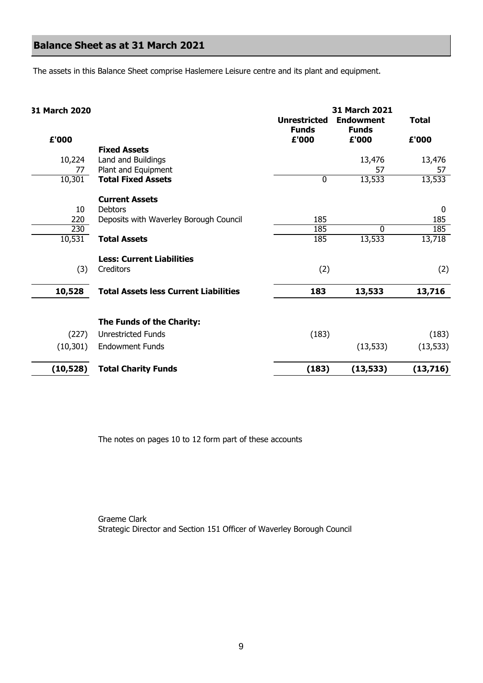# **Balance Sheet as at 31 March 2021**

The assets in this Balance Sheet comprise Haslemere Leisure centre and its plant and equipment.

#### **31 March 2020**

|           |                                              | <b>Unrestricted</b><br><b>Funds</b> | <b>Endowment</b><br><b>Funds</b> | <b>Total</b> |
|-----------|----------------------------------------------|-------------------------------------|----------------------------------|--------------|
| £'000     |                                              | £'000                               | £'000                            | £'000        |
|           | <b>Fixed Assets</b>                          |                                     |                                  |              |
| 10,224    | Land and Buildings                           |                                     | 13,476                           | 13,476       |
| 77        | Plant and Equipment                          |                                     | 57                               | 57           |
| 10,301    | <b>Total Fixed Assets</b>                    | 0                                   | 13,533                           | 13,533       |
|           | <b>Current Assets</b>                        |                                     |                                  |              |
| 10        | Debtors                                      |                                     |                                  | $\mathbf 0$  |
| 220       | Deposits with Waverley Borough Council       | 185                                 |                                  | 185          |
| 230       |                                              | 185                                 | $\Omega$                         | 185          |
| 10,531    | <b>Total Assets</b>                          | 185                                 | 13,533                           | 13,718       |
|           | <b>Less: Current Liabilities</b>             |                                     |                                  |              |
| (3)       | Creditors                                    | (2)                                 |                                  | (2)          |
| 10,528    | <b>Total Assets less Current Liabilities</b> | 183                                 | 13,533                           | 13,716       |
|           | The Funds of the Charity:                    |                                     |                                  |              |
| (227)     | <b>Unrestricted Funds</b>                    | (183)                               |                                  | (183)        |
| (10, 301) | <b>Endowment Funds</b>                       |                                     | (13, 533)                        | (13, 533)    |
| (10, 528) | <b>Total Charity Funds</b>                   | (183)                               | (13, 533)                        | (13,716)     |

**31 March 2021**

The notes on pages 10 to 12 form part of these accounts

Graeme Clark Strategic Director and Section 151 Officer of Waverley Borough Council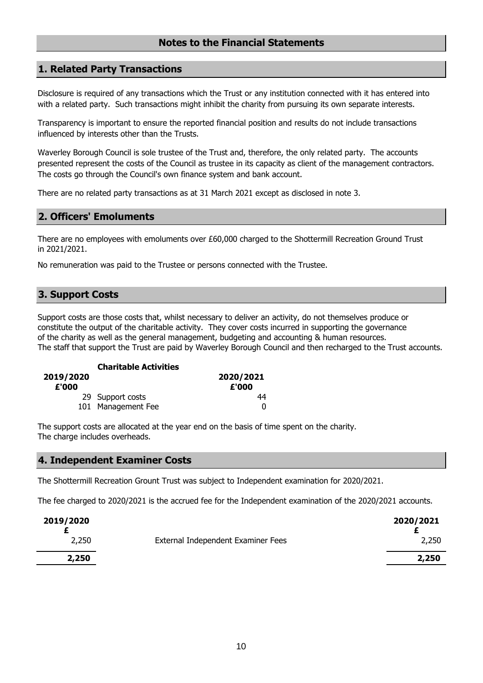### **Notes to the Financial Statements**

#### **1. Related Party Transactions**

Disclosure is required of any transactions which the Trust or any institution connected with it has entered into with a related party. Such transactions might inhibit the charity from pursuing its own separate interests.

Transparency is important to ensure the reported financial position and results do not include transactions influenced by interests other than the Trusts.

Waverley Borough Council is sole trustee of the Trust and, therefore, the only related party. The accounts presented represent the costs of the Council as trustee in its capacity as client of the management contractors. The costs go through the Council's own finance system and bank account.

There are no related party transactions as at 31 March 2021 except as disclosed in note 3.

#### **2. Officers' Emoluments**

There are no employees with emoluments over £60,000 charged to the Shottermill Recreation Ground Trust in 2021/2021.

No remuneration was paid to the Trustee or persons connected with the Trustee.

### **3. Support Costs**

Support costs are those costs that, whilst necessary to deliver an activity, do not themselves produce or constitute the output of the charitable activity. They cover costs incurred in supporting the governance of the charity as well as the general management, budgeting and accounting & human resources. The staff that support the Trust are paid by Waverley Borough Council and then recharged to the Trust accounts.

|                    | <b>Charitable Activities</b> |                    |
|--------------------|------------------------------|--------------------|
| 2019/2020<br>£'000 |                              | 2020/2021<br>£'000 |
|                    | 29 Support costs             | 44                 |
|                    | 101 Management Fee           | O                  |

The support costs are allocated at the year end on the basis of time spent on the charity. The charge includes overheads.

#### **4. Independent Examiner Costs**

The Shottermill Recreation Grount Trust was subject to Independent examination for 2020/2021.

The fee charged to 2020/2021 is the accrued fee for the Independent examination of the 2020/2021 accounts.

| 2019/2020 |                                    | 2020/2021 |
|-----------|------------------------------------|-----------|
| 2,250     | External Independent Examiner Fees | 2,250     |
| 2,250     |                                    | 2,250     |
|           |                                    |           |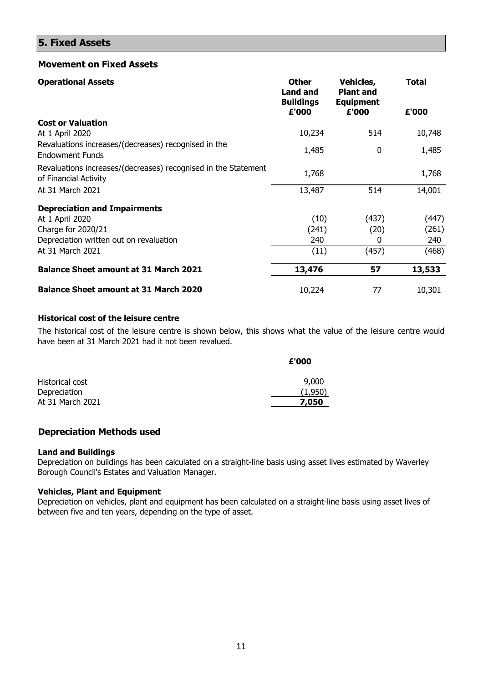## **5. Fixed Assets**

#### **Movement on Fixed Assets**

| <b>Operational Assets</b>                                                               | <b>Other</b><br><b>Land and</b><br><b>Buildings</b><br>£'000 | Vehicles,<br><b>Plant and</b><br><b>Equipment</b><br>£'000 | <b>Total</b><br>£'000 |
|-----------------------------------------------------------------------------------------|--------------------------------------------------------------|------------------------------------------------------------|-----------------------|
| <b>Cost or Valuation</b>                                                                |                                                              |                                                            |                       |
| At 1 April 2020                                                                         | 10,234                                                       | 514                                                        | 10,748                |
| Revaluations increases/(decreases) recognised in the<br><b>Endowment Funds</b>          | 1,485                                                        | 0                                                          | 1,485                 |
| Revaluations increases/(decreases) recognised in the Statement<br>of Financial Activity | 1,768                                                        |                                                            | 1,768                 |
| At 31 March 2021                                                                        | 13,487                                                       | 514                                                        | 14,001                |
| <b>Depreciation and Impairments</b>                                                     |                                                              |                                                            |                       |
| At 1 April 2020                                                                         | (10)                                                         | (437)                                                      | (447)                 |
| Charge for 2020/21                                                                      | (241)                                                        | (20)                                                       | (261)                 |
| Depreciation written out on revaluation                                                 | 240                                                          | 0                                                          | 240                   |
| At 31 March 2021                                                                        | (11)                                                         | (457)                                                      | (468)                 |
| <b>Balance Sheet amount at 31 March 2021</b>                                            | 13,476                                                       | 57                                                         | 13,533                |
| <b>Balance Sheet amount at 31 March 2020</b>                                            | 10,224                                                       | 77                                                         | 10,301                |

#### **Historical cost of the leisure centre**

The historical cost of the leisure centre is shown below, this shows what the value of the leisure centre would have been at 31 March 2021 had it not been revalued.

|                  | £'000   |
|------------------|---------|
| Historical cost  | 9,000   |
| Depreciation     | (1.950) |
| At 31 March 2021 | 7,050   |

#### **Depreciation Methods used**

#### **Land and Buildings**

Depreciation on buildings has been calculated on a straight-line basis using asset lives estimated by Waverley Borough Council's Estates and Valuation Manager.

#### **Vehicles, Plant and Equipment**

Depreciation on vehicles, plant and equipment has been calculated on a straight-line basis using asset lives of between five and ten years, depending on the type of asset.